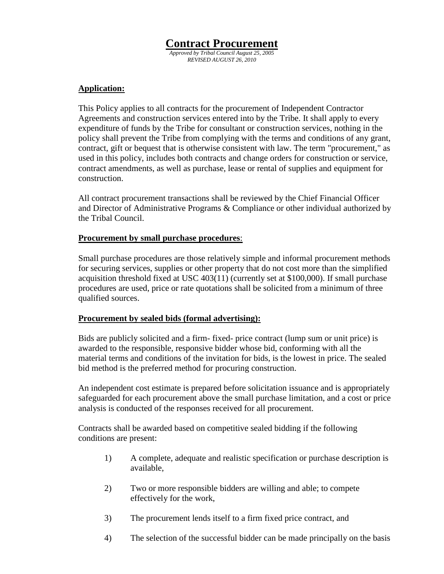# **Contract Procurement**

*Approved by Tribal Council August 25, 2005 REVISED AUGUST 26, 2010* 

#### **Application:**

 This Policy applies to all contracts for the procurement of Independent Contractor Agreements and construction services entered into by the Tribe. It shall apply to every expenditure of funds by the Tribe for consultant or construction services, nothing in the policy shall prevent the Tribe from complying with the terms and conditions of any grant, contract, gift or bequest that is otherwise consistent with law. The term "procurement," as used in this policy, includes both contracts and change orders for construction or service, contract amendments, as well as purchase, lease or rental of supplies and equipment for construction.

 All contract procurement transactions shall be reviewed by the Chief Financial Officer and Director of Administrative Programs & Compliance or other individual authorized by the Tribal Council.

#### **Procurement by small purchase procedures**:

Small purchase procedures are those relatively simple and informal procurement methods for securing services, supplies or other property that do not cost more than the simplified acquisition threshold fixed at USC 403(11) (currently set at \$100,000). If small purchase procedures are used, price or rate quotations shall be solicited from a minimum of three qualified sources.

#### **Procurement by sealed bids (formal advertising):**

Bids are publicly solicited and a firm- fixed- price contract (lump sum or unit price) is awarded to the responsible, responsive bidder whose bid, conforming with all the material terms and conditions of the invitation for bids, is the lowest in price. The sealed bid method is the preferred method for procuring construction.

An independent cost estimate is prepared before solicitation issuance and is appropriately safeguarded for each procurement above the small purchase limitation, and a cost or price analysis is conducted of the responses received for all procurement.

Contracts shall be awarded based on competitive sealed bidding if the following conditions are present:

- 1) A complete, adequate and realistic specification or purchase description is available,
- 2) Two or more responsible bidders are willing and able; to compete effectively for the work,
- 3) The procurement lends itself to a firm fixed price contract, and
- 4) The selection of the successful bidder can be made principally on the basis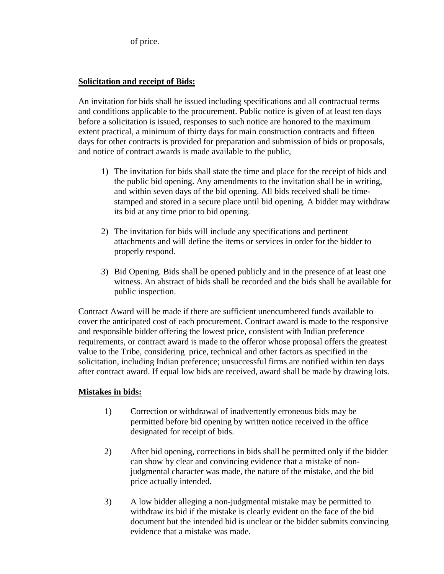of price.

#### **Solicitation and receipt of Bids:**

An invitation for bids shall be issued including specifications and all contractual terms and conditions applicable to the procurement. Public notice is given of at least ten days before a solicitation is issued, responses to such notice are honored to the maximum extent practical, a minimum of thirty days for main construction contracts and fifteen days for other contracts is provided for preparation and submission of bids or proposals, and notice of contract awards is made available to the public,

- 1) The invitation for bids shall state the time and place for the receipt of bids and the public bid opening. Any amendments to the invitation shall be in writing, and within seven days of the bid opening. All bids received shall be timestamped and stored in a secure place until bid opening. A bidder may withdraw its bid at any time prior to bid opening.
- 2) The invitation for bids will include any specifications and pertinent attachments and will define the items or services in order for the bidder to properly respond.
- 3) Bid Opening. Bids shall be opened publicly and in the presence of at least one witness. An abstract of bids shall be recorded and the bids shall be available for public inspection.

Contract Award will be made if there are sufficient unencumbered funds available to cover the anticipated cost of each procurement. Contract award is made to the responsive and responsible bidder offering the lowest price, consistent with Indian preference requirements, or contract award is made to the offeror whose proposal offers the greatest value to the Tribe, considering price, technical and other factors as specified in the solicitation, including Indian preference; unsuccessful firms are notified within ten days after contract award. If equal low bids are received, award shall be made by drawing lots.

# **Mistakes in bids:**

- 1) Correction or withdrawal of inadvertently erroneous bids may be permitted before bid opening by written notice received in the office designated for receipt of bids.
- 2) After bid opening, corrections in bids shall be permitted only if the bidder can show by clear and convincing evidence that a mistake of nonjudgmental character was made, the nature of the mistake, and the bid price actually intended.
- 3) A low bidder alleging a non-judgmental mistake may be permitted to withdraw its bid if the mistake is clearly evident on the face of the bid document but the intended bid is unclear or the bidder submits convincing evidence that a mistake was made.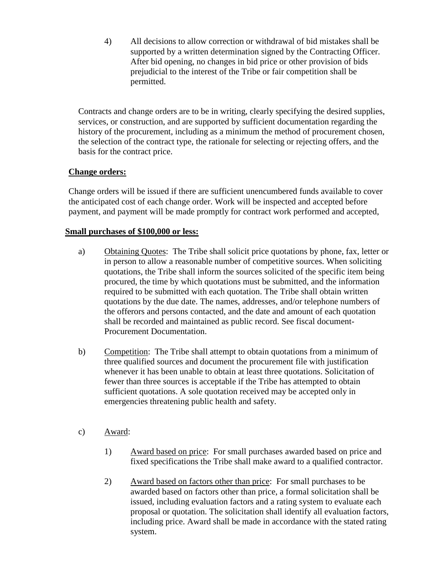4) All decisions to allow correction or withdrawal of bid mistakes shall be supported by a written determination signed by the Contracting Officer. After bid opening, no changes in bid price or other provision of bids prejudicial to the interest of the Tribe or fair competition shall be permitted.

Contracts and change orders are to be in writing, clearly specifying the desired supplies, services, or construction, and are supported by sufficient documentation regarding the history of the procurement, including as a minimum the method of procurement chosen, the selection of the contract type, the rationale for selecting or rejecting offers, and the basis for the contract price.

# **Change orders:**

Change orders will be issued if there are sufficient unencumbered funds available to cover the anticipated cost of each change order. Work will be inspected and accepted before payment, and payment will be made promptly for contract work performed and accepted,

# **Small purchases of \$100,000 or less:**

- a) Obtaining Quotes: The Tribe shall solicit price quotations by phone, fax, letter or in person to allow a reasonable number of competitive sources. When soliciting quotations, the Tribe shall inform the sources solicited of the specific item being procured, the time by which quotations must be submitted, and the information required to be submitted with each quotation. The Tribe shall obtain written quotations by the due date. The names, addresses, and/or telephone numbers of the offerors and persons contacted, and the date and amount of each quotation shall be recorded and maintained as public record. See fiscal document-Procurement Documentation.
- b) Competition: The Tribe shall attempt to obtain quotations from a minimum of three qualified sources and document the procurement file with justification whenever it has been unable to obtain at least three quotations. Solicitation of fewer than three sources is acceptable if the Tribe has attempted to obtain sufficient quotations. A sole quotation received may be accepted only in emergencies threatening public health and safety.
- c) Award:
	- 1) Award based on price: For small purchases awarded based on price and fixed specifications the Tribe shall make award to a qualified contractor.
	- 2) Award based on factors other than price: For small purchases to be awarded based on factors other than price, a formal solicitation shall be issued, including evaluation factors and a rating system to evaluate each proposal or quotation. The solicitation shall identify all evaluation factors, including price. Award shall be made in accordance with the stated rating system.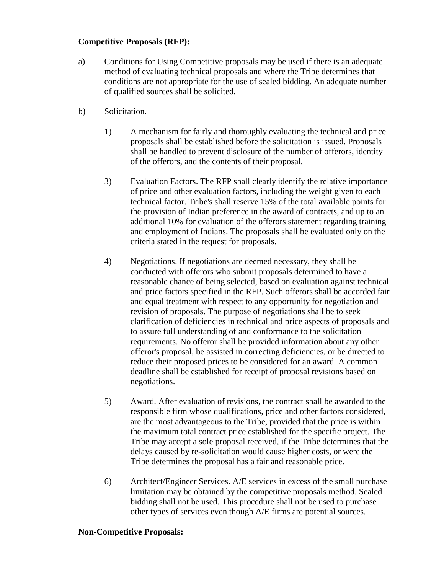#### **Competitive Proposals (RFP):**

- a) Conditions for Using Competitive proposals may be used if there is an adequate method of evaluating technical proposals and where the Tribe determines that conditions are not appropriate for the use of sealed bidding. An adequate number of qualified sources shall be solicited.
- b) Solicitation.
	- 1) A mechanism for fairly and thoroughly evaluating the technical and price proposals shall be established before the solicitation is issued. Proposals shall be handled to prevent disclosure of the number of offerors, identity of the offerors, and the contents of their proposal.
	- 3) Evaluation Factors. The RFP shall clearly identify the relative importance of price and other evaluation factors, including the weight given to each technical factor. Tribe's shall reserve 15% of the total available points for the provision of Indian preference in the award of contracts, and up to an additional 10% for evaluation of the offerors statement regarding training and employment of Indians. The proposals shall be evaluated only on the criteria stated in the request for proposals.
	- 4) Negotiations. If negotiations are deemed necessary, they shall be conducted with offerors who submit proposals determined to have a reasonable chance of being selected, based on evaluation against technical and price factors specified in the RFP. Such offerors shall be accorded fair and equal treatment with respect to any opportunity for negotiation and revision of proposals. The purpose of negotiations shall be to seek clarification of deficiencies in technical and price aspects of proposals and to assure full understanding of and conformance to the solicitation requirements. No offeror shall be provided information about any other offeror's proposal, be assisted in correcting deficiencies, or be directed to reduce their proposed prices to be considered for an award. A common deadline shall be established for receipt of proposal revisions based on negotiations.
	- 5) Award. After evaluation of revisions, the contract shall be awarded to the responsible firm whose qualifications, price and other factors considered, are the most advantageous to the Tribe, provided that the price is within the maximum total contract price established for the specific project. The Tribe may accept a sole proposal received, if the Tribe determines that the delays caused by re-solicitation would cause higher costs, or were the Tribe determines the proposal has a fair and reasonable price.
	- 6) Architect/Engineer Services. A/E services in excess of the small purchase limitation may be obtained by the competitive proposals method. Sealed bidding shall not be used. This procedure shall not be used to purchase other types of services even though A/E firms are potential sources.

# **Non-Competitive Proposals:**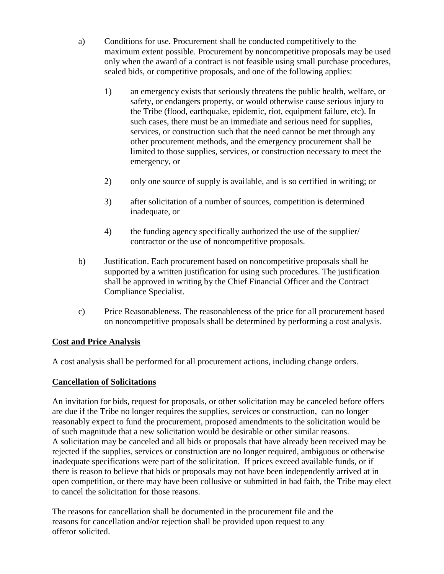- a) Conditions for use. Procurement shall be conducted competitively to the maximum extent possible. Procurement by noncompetitive proposals may be used only when the award of a contract is not feasible using small purchase procedures, sealed bids, or competitive proposals, and one of the following applies:
	- 1) an emergency exists that seriously threatens the public health, welfare, or safety, or endangers property, or would otherwise cause serious injury to the Tribe (flood, earthquake, epidemic, riot, equipment failure, etc). In such cases, there must be an immediate and serious need for supplies, services, or construction such that the need cannot be met through any other procurement methods, and the emergency procurement shall be limited to those supplies, services, or construction necessary to meet the emergency, or
	- 2) only one source of supply is available, and is so certified in writing; or
	- 3) after solicitation of a number of sources, competition is determined inadequate, or
	- 4) the funding agency specifically authorized the use of the supplier/ contractor or the use of noncompetitive proposals.
- b) Justification. Each procurement based on noncompetitive proposals shall be supported by a written justification for using such procedures. The justification shall be approved in writing by the Chief Financial Officer and the Contract Compliance Specialist.
- c) Price Reasonableness. The reasonableness of the price for all procurement based on noncompetitive proposals shall be determined by performing a cost analysis.

# **Cost and Price Analysis**

A cost analysis shall be performed for all procurement actions, including change orders.

# **Cancellation of Solicitations**

An invitation for bids, request for proposals, or other solicitation may be canceled before offers are due if the Tribe no longer requires the supplies, services or construction, can no longer reasonably expect to fund the procurement, proposed amendments to the solicitation would be of such magnitude that a new solicitation would be desirable or other similar reasons. A solicitation may be canceled and all bids or proposals that have already been received may be rejected if the supplies, services or construction are no longer required, ambiguous or otherwise inadequate specifications were part of the solicitation. If prices exceed available funds, or if there is reason to believe that bids or proposals may not have been independently arrived at in open competition, or there may have been collusive or submitted in bad faith, the Tribe may elect to cancel the solicitation for those reasons.

The reasons for cancellation shall be documented in the procurement file and the reasons for cancellation and/or rejection shall be provided upon request to any offeror solicited.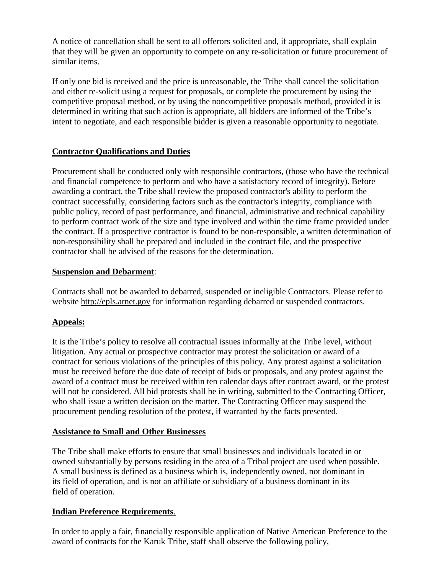A notice of cancellation shall be sent to all offerors solicited and, if appropriate, shall explain that they will be given an opportunity to compete on any re-solicitation or future procurement of similar items.

If only one bid is received and the price is unreasonable, the Tribe shall cancel the solicitation and either re-solicit using a request for proposals, or complete the procurement by using the competitive proposal method, or by using the noncompetitive proposals method, provided it is determined in writing that such action is appropriate, all bidders are informed of the Tribe's intent to negotiate, and each responsible bidder is given a reasonable opportunity to negotiate.

# **Contractor Qualifications and Duties**

Procurement shall be conducted only with responsible contractors, (those who have the technical and financial competence to perform and who have a satisfactory record of integrity). Before awarding a contract, the Tribe shall review the proposed contractor's ability to perform the contract successfully, considering factors such as the contractor's integrity, compliance with public policy, record of past performance, and financial, administrative and technical capability to perform contract work of the size and type involved and within the time frame provided under the contract. If a prospective contractor is found to be non-responsible, a written determination of non-responsibility shall be prepared and included in the contract file, and the prospective contractor shall be advised of the reasons for the determination.

# **Suspension and Debarment**:

Contracts shall not be awarded to debarred, suspended or ineligible Contractors. Please refer to website http://epls.arnet.gov for information regarding debarred or suspended contractors.

# **Appeals:**

It is the Tribe's policy to resolve all contractual issues informally at the Tribe level, without litigation. Any actual or prospective contractor may protest the solicitation or award of a contract for serious violations of the principles of this policy. Any protest against a solicitation must be received before the due date of receipt of bids or proposals, and any protest against the award of a contract must be received within ten calendar days after contract award, or the protest will not be considered. All bid protests shall be in writing, submitted to the Contracting Officer, who shall issue a written decision on the matter. The Contracting Officer may suspend the procurement pending resolution of the protest, if warranted by the facts presented.

# **Assistance to Small and Other Businesses**

The Tribe shall make efforts to ensure that small businesses and individuals located in or owned substantially by persons residing in the area of a Tribal project are used when possible. A small business is defined as a business which is, independently owned, not dominant in its field of operation, and is not an affiliate or subsidiary of a business dominant in its field of operation.

# **Indian Preference Requirements**.

In order to apply a fair, financially responsible application of Native American Preference to the award of contracts for the Karuk Tribe, staff shall observe the following policy,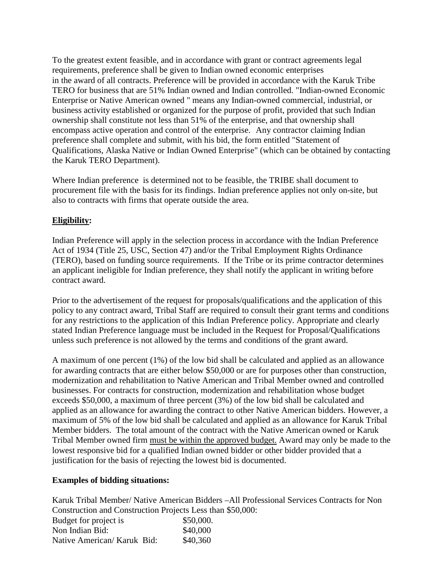To the greatest extent feasible, and in accordance with grant or contract agreements legal requirements, preference shall be given to Indian owned economic enterprises in the award of all contracts. Preference will be provided in accordance with the Karuk Tribe TERO for business that are 51% Indian owned and Indian controlled. "Indian-owned Economic Enterprise or Native American owned " means any Indian-owned commercial, industrial, or business activity established or organized for the purpose of profit, provided that such Indian ownership shall constitute not less than 51% of the enterprise, and that ownership shall encompass active operation and control of the enterprise. Any contractor claiming Indian preference shall complete and submit, with his bid, the form entitled "Statement of Qualifications, Alaska Native or Indian Owned Enterprise" (which can be obtained by contacting the Karuk TERO Department).

Where Indian preference is determined not to be feasible, the TRIBE shall document to procurement file with the basis for its findings. Indian preference applies not only on-site, but also to contracts with firms that operate outside the area.

#### **Eligibility:**

Indian Preference will apply in the selection process in accordance with the Indian Preference Act of 1934 (Title 25, USC, Section 47) and/or the Tribal Employment Rights Ordinance (TERO), based on funding source requirements. If the Tribe or its prime contractor determines an applicant ineligible for Indian preference, they shall notify the applicant in writing before contract award.

Prior to the advertisement of the request for proposals/qualifications and the application of this policy to any contract award, Tribal Staff are required to consult their grant terms and conditions for any restrictions to the application of this Indian Preference policy. Appropriate and clearly stated Indian Preference language must be included in the Request for Proposal/Qualifications unless such preference is not allowed by the terms and conditions of the grant award.

A maximum of one percent (1%) of the low bid shall be calculated and applied as an allowance for awarding contracts that are either below \$50,000 or are for purposes other than construction, modernization and rehabilitation to Native American and Tribal Member owned and controlled businesses. For contracts for construction, modernization and rehabilitation whose budget exceeds \$50,000, a maximum of three percent (3%) of the low bid shall be calculated and applied as an allowance for awarding the contract to other Native American bidders. However, a maximum of 5% of the low bid shall be calculated and applied as an allowance for Karuk Tribal Member bidders. The total amount of the contract with the Native American owned or Karuk Tribal Member owned firm must be within the approved budget. Award may only be made to the lowest responsive bid for a qualified Indian owned bidder or other bidder provided that a justification for the basis of rejecting the lowest bid is documented.

#### **Examples of bidding situations:**

Karuk Tribal Member/ Native American Bidders –All Professional Services Contracts for Non Construction and Construction Projects Less than \$50,000: Budget for project is \$50,000. Non Indian Bid: \$40,000 Native American/ Karuk Bid: \$40,360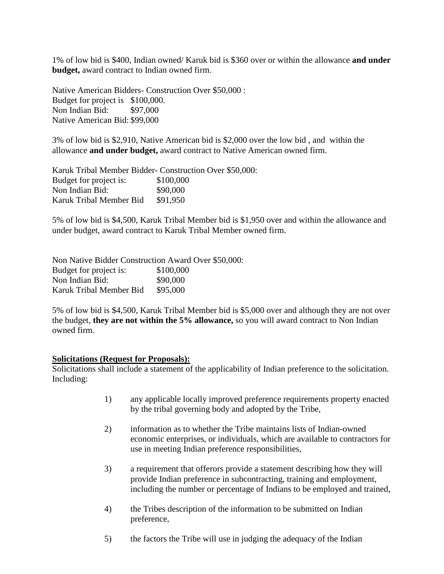1% of low bid is \$400, Indian owned/ Karuk bid is \$360 over or within the allowance **and under budget,** award contract to Indian owned firm.

Native American Bidders- Construction Over \$50,000 : Budget for project is \$100,000. Non Indian Bid: \$97,000 Native American Bid: \$99,000

3% of low bid is \$2,910, Native American bid is \$2,000 over the low bid , and within the allowance **and under budget,** award contract to Native American owned firm.

Karuk Tribal Member Bidder- Construction Over \$50,000: Budget for project is: \$100,000 Non Indian Bid: \$90,000 Karuk Tribal Member Bid \$91,950

5% of low bid is \$4,500, Karuk Tribal Member bid is \$1,950 over and within the allowance and under budget, award contract to Karuk Tribal Member owned firm.

Non Native Bidder Construction Award Over \$50,000: Budget for project is: \$100,000 Non Indian Bid: \$90,000 Karuk Tribal Member Bid \$95,000

5% of low bid is \$4,500, Karuk Tribal Member bid is \$5,000 over and although they are not over the budget, **they are not within the 5% allowance,** so you will award contract to Non Indian owned firm.

#### **Solicitations (Request for Proposals):**

Solicitations shall include a statement of the applicability of Indian preference to the solicitation. Including:

- 1) any applicable locally improved preference requirements property enacted by the tribal governing body and adopted by the Tribe,
- 2) information as to whether the Tribe maintains lists of Indian-owned economic enterprises, or individuals, which are available to contractors for use in meeting Indian preference responsibilities,
- 3) a requirement that offerors provide a statement describing how they will provide Indian preference in subcontracting, training and employment, including the number or percentage of Indians to be employed and trained,
- 4) the Tribes description of the information to be submitted on Indian preference,
- 5) the factors the Tribe will use in judging the adequacy of the Indian